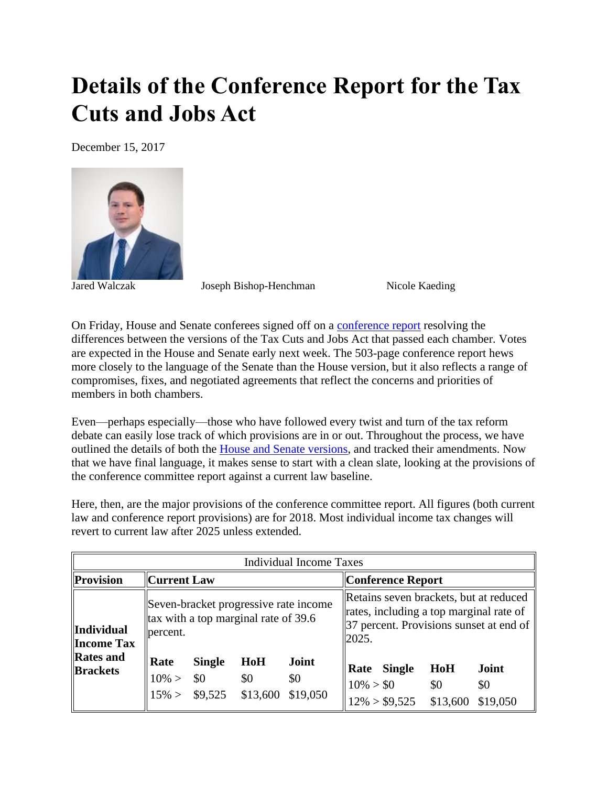## **Details of the Conference Report for the Tax Cuts and Jobs Act**

December 15, 2017



Jared Walczak Joseph Bishop-Henchman Nicole Kaeding

On Friday, House and Senate conferees signed off on a [conference report](https://files.taxfoundation.org/20171215175456/TCJA_Conference_Report.pdf) resolving the differences between the versions of the Tax Cuts and Jobs Act that passed each chamber. Votes are expected in the House and Senate early next week. The 503-page conference report hews more closely to the language of the Senate than the House version, but it also reflects a range of compromises, fixes, and negotiated agreements that reflect the concerns and priorities of members in both chambers.

Even—perhaps especially—those who have followed every twist and turn of the tax reform debate can easily lose track of which provisions are in or out. Throughout the process, we have outlined the details of both the [House and Senate versions,](https://taxfoundation.org/important-differences-house-senate-tax-reform-bills-heading-conference/) and tracked their amendments. Now that we have final language, it makes sense to start with a clean slate, looking at the provisions of the conference committee report against a current law baseline.

Here, then, are the major provisions of the conference committee report. All figures (both current law and conference report provisions) are for 2018. Most individual income tax changes will revert to current law after 2025 unless extended.

| <b>Individual Income Taxes</b>                                                |                                                                                                |                                          |                        |                          |                                                                                                                                       |                           |                        |
|-------------------------------------------------------------------------------|------------------------------------------------------------------------------------------------|------------------------------------------|------------------------|--------------------------|---------------------------------------------------------------------------------------------------------------------------------------|---------------------------|------------------------|
| Provision                                                                     | $\ $ Current Law                                                                               |                                          |                        | Conference Report        |                                                                                                                                       |                           |                        |
| <b>Individual</b><br><b>Income Tax</b><br><b>Rates</b> and<br><b>Brackets</b> | Seven-bracket progressive rate income<br>$\ $ tax with a top marginal rate of 39.6<br>percent. |                                          |                        |                          | Retains seven brackets, but at reduced<br>rates, including a top marginal rate of<br>37 percent. Provisions sunset at end of<br>2025. |                           |                        |
|                                                                               | Rate<br>$10\% >$                                                                               | <b>Single</b><br>\$0<br>$15\% >$ \$9,525 | HoH<br>\$0<br>\$13,600 | Joint<br>\$0<br>\$19,050 | Rate<br>$10\% > $0$                                                                                                                   | Single<br>$12\% > $9,525$ | HoH<br>\$0<br>\$13,600 |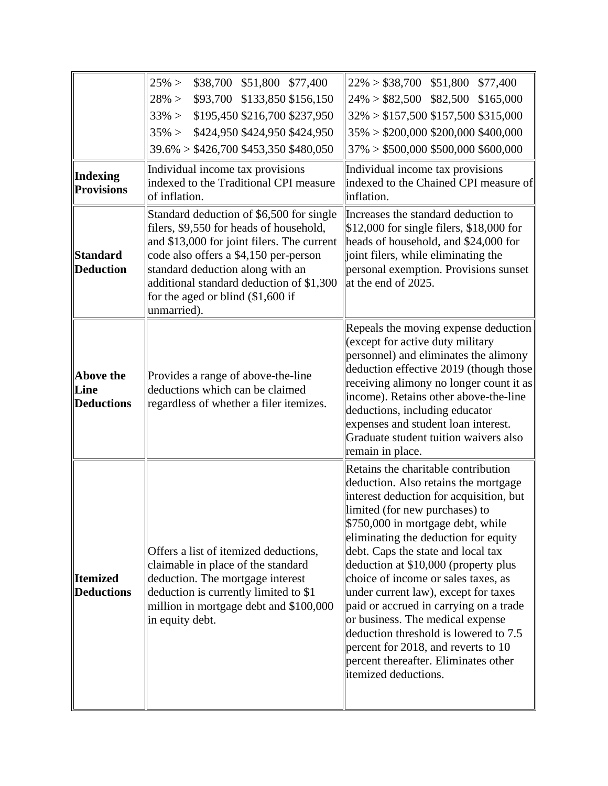| Indexing                                                 | $25\% >$<br>\$38,700 \$51,800 \$77,400<br>\$93,700 \$133,850 \$156,150<br>$28\% >$<br>\$195,450 \$216,700 \$237,950<br>$33\% >$<br>\$424,950 \$424,950 \$424,950<br>$35\% >$<br>$39.6\% > $426,700 $453,350 $480,050$<br>Individual income tax provisions                                                                                                                   | $22\% > $38,700$ \$51,800 \$77,400<br>$24\% > $82,500$ \$82,500 \$165,000<br>$32\% > $157,500 $157,500 $315,000$<br>$35\% > $200,000 $200,000 $400,000$<br>$37\% > $500,000 $500,000 $600,000$<br>Individual income tax provisions                                                                                                                                                                                                                                                                                                                                                                                               |
|----------------------------------------------------------|-----------------------------------------------------------------------------------------------------------------------------------------------------------------------------------------------------------------------------------------------------------------------------------------------------------------------------------------------------------------------------|----------------------------------------------------------------------------------------------------------------------------------------------------------------------------------------------------------------------------------------------------------------------------------------------------------------------------------------------------------------------------------------------------------------------------------------------------------------------------------------------------------------------------------------------------------------------------------------------------------------------------------|
| <b>Provisions</b><br><b>Standard</b><br><b>Deduction</b> | indexed to the Traditional CPI measure<br>of inflation.<br>Standard deduction of \$6,500 for single<br>filers, \$9,550 for heads of household,<br>and \$13,000 for joint filers. The current<br>code also offers a \$4,150 per-person<br>standard deduction along with an<br>additional standard deduction of \$1,300<br>for the aged or blind $(\$1,600$ if<br>unmarried). | indexed to the Chained CPI measure of<br>inflation.<br>Increases the standard deduction to<br>\$12,000 for single filers, \$18,000 for<br>heads of household, and \$24,000 for<br>joint filers, while eliminating the<br>personal exemption. Provisions sunset<br>at the end of 2025.                                                                                                                                                                                                                                                                                                                                            |
| Above the<br>Line<br><b>Deductions</b>                   | Provides a range of above-the-line<br>deductions which can be claimed<br>regardless of whether a filer itemizes.                                                                                                                                                                                                                                                            | Repeals the moving expense deduction<br>(except for active duty military<br>personnel) and eliminates the alimony<br>deduction effective 2019 (though those<br>receiving alimony no longer count it as<br>income). Retains other above-the-line<br>deductions, including educator<br>expenses and student loan interest.<br>Graduate student tuition waivers also<br>remain in place.                                                                                                                                                                                                                                            |
| <b>Itemized</b><br><b>Deductions</b>                     | Offers a list of itemized deductions,<br>claimable in place of the standard<br>deduction. The mortgage interest<br>deduction is currently limited to \$1<br>million in mortgage debt and \$100,000<br>in equity debt.                                                                                                                                                       | Retains the charitable contribution<br>deduction. Also retains the mortgage<br>interest deduction for acquisition, but<br>limited (for new purchases) to<br>\$750,000 in mortgage debt, while<br>eliminating the deduction for equity<br>debt. Caps the state and local tax<br>deduction at \$10,000 (property plus<br>choice of income or sales taxes, as<br>under current law), except for taxes<br>paid or accrued in carrying on a trade<br>or business. The medical expense<br>deduction threshold is lowered to 7.5<br>percent for 2018, and reverts to 10<br>percent thereafter. Eliminates other<br>itemized deductions. |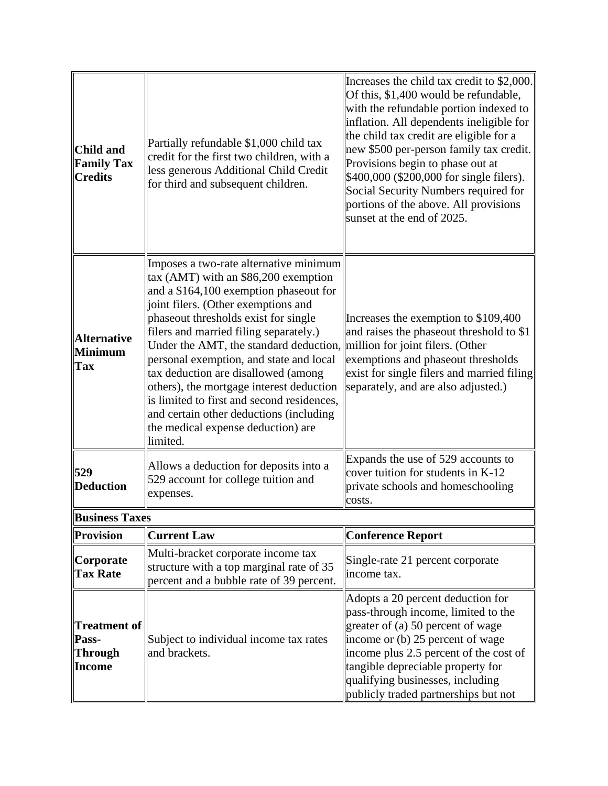| Child and<br><b>Family Tax</b><br><b>Credits</b> | Partially refundable \$1,000 child tax<br>credit for the first two children, with a<br>less generous Additional Child Credit<br>for third and subsequent children.                                                                                                                                                                                                                                                                                                                                                                                                                                    | Increases the child tax credit to \$2,000.<br>Of this, \$1,400 would be refundable,<br>with the refundable portion indexed to<br>inflation. All dependents ineligible for<br>the child tax credit are eligible for a<br>new \$500 per-person family tax credit.<br>Provisions begin to phase out at<br>\$400,000 (\$200,000 for single filers).<br>Social Security Numbers required for<br>portions of the above. All provisions<br>sunset at the end of 2025. |
|--------------------------------------------------|-------------------------------------------------------------------------------------------------------------------------------------------------------------------------------------------------------------------------------------------------------------------------------------------------------------------------------------------------------------------------------------------------------------------------------------------------------------------------------------------------------------------------------------------------------------------------------------------------------|----------------------------------------------------------------------------------------------------------------------------------------------------------------------------------------------------------------------------------------------------------------------------------------------------------------------------------------------------------------------------------------------------------------------------------------------------------------|
| <b>Alternative</b><br>Minimum<br><b>Tax</b>      | Imposes a two-rate alternative minimum<br>tax (AMT) with an \$86,200 exemption<br>and a \$164,100 exemption phaseout for<br>ioint filers. (Other exemptions and<br>phaseout thresholds exist for single<br>filers and married filing separately.)<br>Under the AMT, the standard deduction, million for joint filers. (Other<br>personal exemption, and state and local<br>tax deduction are disallowed (among<br>others), the mortgage interest deduction<br>is limited to first and second residences,<br>and certain other deductions (including<br>the medical expense deduction) are<br>limited. | Increases the exemption to \$109,400<br>and raises the phaseout threshold to \$1<br>exemptions and phaseout thresholds<br>exist for single filers and married filing<br>separately, and are also adjusted.)                                                                                                                                                                                                                                                    |
| 529<br><b>Deduction</b>                          | Allows a deduction for deposits into a<br>529 account for college tuition and<br>expenses.                                                                                                                                                                                                                                                                                                                                                                                                                                                                                                            | Expands the use of 529 accounts to<br>cover tuition for students in K-12<br>private schools and homeschooling<br>costs.                                                                                                                                                                                                                                                                                                                                        |
| <b>Business Taxes</b>                            |                                                                                                                                                                                                                                                                                                                                                                                                                                                                                                                                                                                                       |                                                                                                                                                                                                                                                                                                                                                                                                                                                                |
| Provision                                        | <b>Current Law</b>                                                                                                                                                                                                                                                                                                                                                                                                                                                                                                                                                                                    | <b>Conference Report</b>                                                                                                                                                                                                                                                                                                                                                                                                                                       |
| Corporate<br><b>Tax Rate</b>                     | Multi-bracket corporate income tax<br>structure with a top marginal rate of 35<br>percent and a bubble rate of 39 percent.                                                                                                                                                                                                                                                                                                                                                                                                                                                                            | Single-rate 21 percent corporate<br>income tax.                                                                                                                                                                                                                                                                                                                                                                                                                |
| Treatment of  <br>Pass-<br>Through<br>Income     | Subject to individual income tax rates<br>and brackets.                                                                                                                                                                                                                                                                                                                                                                                                                                                                                                                                               | Adopts a 20 percent deduction for<br>pass-through income, limited to the<br>greater of (a) 50 percent of wage<br>income or (b) 25 percent of wage<br>income plus 2.5 percent of the cost of<br>tangible depreciable property for<br>qualifying businesses, including<br>publicly traded partnerships but not                                                                                                                                                   |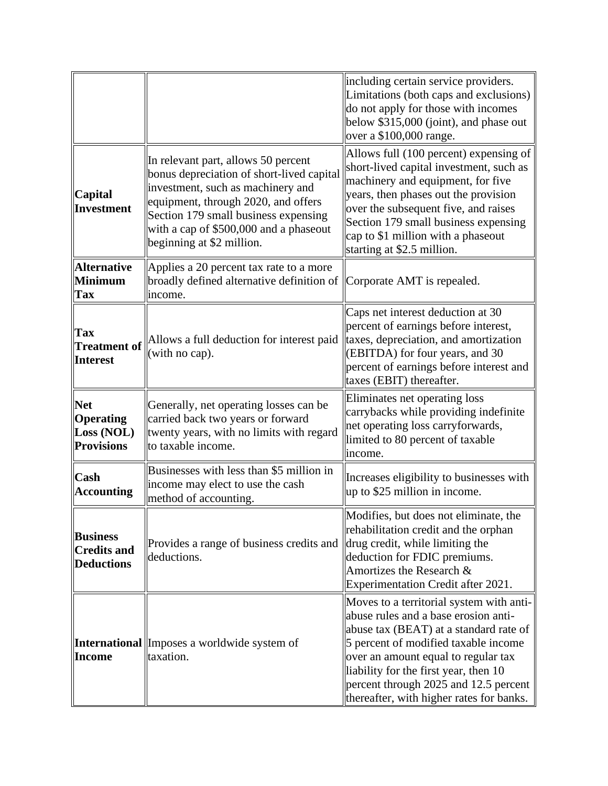|                                                            |                                                                                                                                                                                                                                                                             | including certain service providers.<br>Limitations (both caps and exclusions)<br>do not apply for those with incomes<br>below \$315,000 (joint), and phase out<br>over a \$100,000 range.                                                                                                                                              |
|------------------------------------------------------------|-----------------------------------------------------------------------------------------------------------------------------------------------------------------------------------------------------------------------------------------------------------------------------|-----------------------------------------------------------------------------------------------------------------------------------------------------------------------------------------------------------------------------------------------------------------------------------------------------------------------------------------|
| Capital<br>Investment                                      | In relevant part, allows 50 percent<br>bonus depreciation of short-lived capital<br>investment, such as machinery and<br>equipment, through 2020, and offers<br>Section 179 small business expensing<br>with a cap of \$500,000 and a phaseout<br>beginning at \$2 million. | Allows full (100 percent) expensing of<br>short-lived capital investment, such as<br>machinery and equipment, for five<br>years, then phases out the provision<br>over the subsequent five, and raises<br>Section 179 small business expensing<br>cap to \$1 million with a phaseout<br>starting at \$2.5 million.                      |
| <b>Alternative</b><br><b>Minimum</b><br>Tax                | Applies a 20 percent tax rate to a more<br>broadly defined alternative definition of<br>income.                                                                                                                                                                             | Corporate AMT is repealed.                                                                                                                                                                                                                                                                                                              |
| Tax<br><b>Treatment of</b><br><b>Interest</b>              | Allows a full deduction for interest paid<br>(with no cap).                                                                                                                                                                                                                 | Caps net interest deduction at 30<br>percent of earnings before interest,<br>taxes, depreciation, and amortization<br>(EBITDA) for four years, and 30<br>percent of earnings before interest and<br>taxes (EBIT) thereafter.                                                                                                            |
| <b>Net</b><br>Operating<br>Loss (NOL)<br><b>Provisions</b> | Generally, net operating losses can be<br>carried back two years or forward<br>twenty years, with no limits with regard<br>to taxable income.                                                                                                                               | Eliminates net operating loss<br>carrybacks while providing indefinite<br>net operating loss carryforwards,<br>limited to 80 percent of taxable<br>income.                                                                                                                                                                              |
| <b>Cash</b><br><b>Accounting</b>                           | Businesses with less than \$5 million in<br>income may elect to use the cash<br>method of accounting.                                                                                                                                                                       | Increases eligibility to businesses with<br>up to \$25 million in income.                                                                                                                                                                                                                                                               |
| <b>Business</b><br><b>Credits and</b><br><b>Deductions</b> | Provides a range of business credits and<br>deductions.                                                                                                                                                                                                                     | Modifies, but does not eliminate, the<br>rehabilitation credit and the orphan<br>drug credit, while limiting the<br>deduction for FDIC premiums.<br>Amortizes the Research &<br>Experimentation Credit after 2021.                                                                                                                      |
| <b>Income</b>                                              | <b>International</b> Imposes a worldwide system of<br>taxation.                                                                                                                                                                                                             | Moves to a territorial system with anti-<br>abuse rules and a base erosion anti-<br>abuse tax (BEAT) at a standard rate of<br>5 percent of modified taxable income<br>over an amount equal to regular tax<br>liability for the first year, then 10<br>percent through 2025 and 12.5 percent<br>thereafter, with higher rates for banks. |